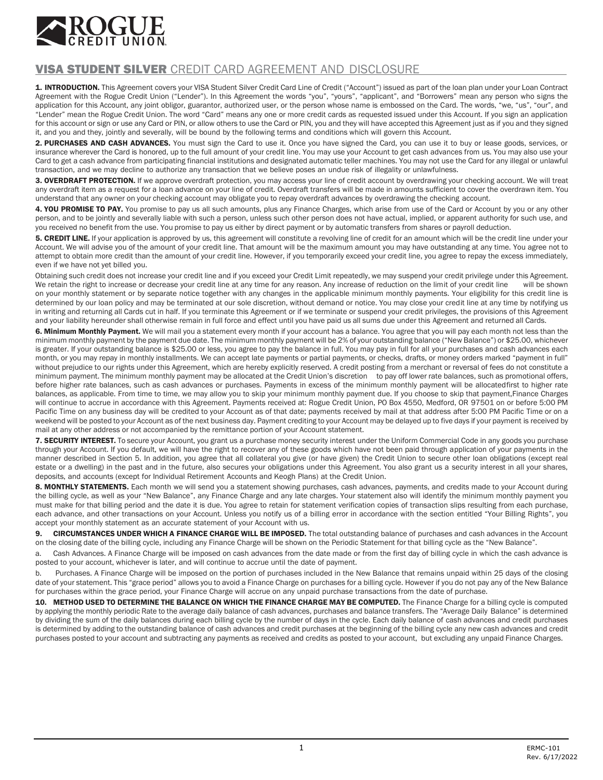

## VISA STUDENT SILVER CREDIT CARD AGREEMENT AND DISCLOSURE

1. INTRODUCTION. This Agreement covers your VISA Student Silver Credit Card Line of Credit ("Account") issued as part of the loan plan under your Loan Contract Agreement with the Rogue Credit Union ("Lender"). In this Agreement the words "you", "yours", "applicant", and "Borrowers" mean any person who signs the application for this Account, any joint obligor, guarantor, authorized user, or the person whose name is embossed on the Card. The words, "we, "us", "our", and "Lender" mean the Rogue Credit Union. The word "Card" means any one or more credit cards as requested issued under this Account. If you sign an application for this account or sign or use any Card or PIN, or allow others to use the Card or PIN, you and they will have accepted this Agreement just as if you and they signed it, and you and they, jointly and severally, will be bound by the following terms and conditions which will govern this Account.

2. PURCHASES AND CASH ADVANCES. You must sign the Card to use it. Once you have signed the Card, you can use it to buy or lease goods, services, or Insurance wherever the Card is honored, up to the full amount of your credit line. You may use your Account to get cash advances from us. You may also use your Card to get a cash advance from participating financial institutions and designated automatic teller machines. You may not use the Card for any illegal or unlawful transaction, and we may decline to authorize any transaction that we believe poses an undue risk of illegality or unlawfulness.

3. OVERDRAFT PROTECTION. If we approve overdraft protection, you may access your line of credit account by overdrawing your checking account. We will treat any overdraft item as a request for a loan advance on your line of credit. Overdraft transfers will be made in amounts sufficient to cover the overdrawn item. You understand that any owner on your checking account may obligate you to repay overdraft advances by overdrawing the checking account.

4. YOU PROMISE TO PAY. You promise to pay us all such amounts, plus any Finance Charges, which arise from use of the Card or Account by you or any other person, and to be jointly and severally liable with such a person, unless such other person does not have actual, implied, or apparent authority for such use, and you received no benefit from the use. You promise to pay us either by direct payment or by automatic transfers from shares or payroll deduction.

5. CREDIT LINE. If your application is approved by us, this agreement will constitute a revolving line of credit for an amount which will be the credit line under your Account. We will advise you of the amount of your credit line. That amount will be the maximum amount you may have outstanding at any time. You agree not to attempt to obtain more credit than the amount of your credit line. However, if you temporarily exceed your credit line, you agree to repay the excess immediately, even if we have not yet billed you.

Obtaining such credit does not increase your credit line and if you exceed your Credit Limit repeatedly, we may suspend your credit privilege under this Agreement. We retain the right to increase or decrease your credit line at any time for any reason. Any increase of reduction on the limit of your credit line will be shown on your monthly statement or by separate notice together with any changes in the applicable minimum monthly payments. Your eligibility for this credit line is determined by our loan policy and may be terminated at our sole discretion, without demand or notice. You may close your credit line at any time by notifying us in writing and returning all Cards cut in half. If you terminate this Agreement or if we terminate or suspend your credit privileges, the provisions of this Agreement and your liability hereunder shall otherwise remain in full force and effect until you have paid us all sums due under this Agreement and returned all Cards.

6. Minimum Monthly Payment. We will mail you a statement every month if your account has a balance. You agree that you will pay each month not less than the minimum monthly payment by the payment due date. The minimum monthly payment will be 2% of your outstanding balance ("New Balance") or \$25.00, whichever is greater. If your outstanding balance is \$25.00 or less, you agree to pay the balance in full. You may pay in full for all your purchases and cash advances each month, or you may repay in monthly installments. We can accept late payments or partial payments, or checks, drafts, or money orders marked "payment in full" without prejudice to our rights under this Agreement, which are hereby explicitly reserved. A credit posting from a merchant or reversal of fees do not constitute a minimum payment. The minimum monthly payment may be allocated at the Credit Union's discretion to pay off lower rate balances, such as promotional offers, before higher rate balances, such as cash advances or purchases. Payments in excess of the minimum monthly payment will be allocatedfirst to higher rate balances, as applicable. From time to time, we may allow you to skip your minimum monthly payment due. If you choose to skip that payment,Finance Charges will continue to accrue in accordance with this Agreement. Payments received at: Rogue Credit Union, PO Box 4550, Medford, OR 97501 on or before 5:00 PM Pacific Time on any business day will be credited to your Account as of that date; payments received by mail at that address after 5:00 PM Pacific Time or on a weekend will be posted to your Account as of the next business day. Payment crediting to your Account may be delayed up to five days if your payment is received by mail at any other address or not accompanied by the remittance portion of your Account statement.

7. SECURITY INTEREST. To secure your Account, you grant us a purchase money security interest under the Uniform Commercial Code in any goods you purchase through your Account. If you default, we will have the right to recover any of these goods which have not been paid through application of your payments in the manner described in Section 5. In addition, you agree that all collateral you give (or have given) the Credit Union to secure other loan obligations (except real estate or a dwelling) in the past and in the future, also secures your obligations under this Agreement. You also grant us a security interest in all your shares, deposits, and accounts (except for Individual Retirement Accounts and Keogh Plans) at the Credit Union.

8. MONTHLY STATEMENTS. Each month we will send you a statement showing purchases, cash advances, payments, and credits made to your Account during the billing cycle, as well as your "New Balance", any Finance Charge and any late charges. Your statement also will identify the minimum monthly payment you must make for that billing period and the date it is due. You agree to retain for statement verification copies of transaction slips resulting from each purchase, each advance, and other transactions on your Account. Unless you notify us of a billing error in accordance with the section entitled "Your Billing Rights", you accept your monthly statement as an accurate statement of your Account with us.

9. CIRCUMSTANCES UNDER WHICH A FINANCE CHARGE WILL BE IMPOSED. The total outstanding balance of purchases and cash advances in the Account on the closing date of the billing cycle, including any Finance Charge will be shown on the Periodic Statement for that billing cycle as the "New Balance".

a. Cash Advances. A Finance Charge will be imposed on cash advances from the date made or from the first day of billing cycle in which the cash advance is posted to your account, whichever is later, and will continue to accrue until the date of payment.

b. Purchases. A Finance Charge will be imposed on the portion of purchases included in the New Balance that remains unpaid within 25 days of the closing date of your statement. This "grace period" allows you to avoid a Finance Charge on purchases for a billing cycle. However if you do not pay any of the New Balance for purchases within the grace period, your Finance Charge will accrue on any unpaid purchase transactions from the date of purchase.

10. METHOD USED TO DETERMINE THE BALANCE ON WHICH THE FINANCE CHARGE MAY BE COMPUTED. The Finance Charge for a billing cycle is computed by applying the monthly periodic Rate to the average daily balance of cash advances, purchases and balance transfers. The "Average Daily Balance" is determined by dividing the sum of the daily balances during each billing cycle by the number of days in the cycle. Each daily balance of cash advances and credit purchases is determined by adding to the outstanding balance of cash advances and credit purchases at the beginning of the billing cycle any new cash advances and credit purchases posted to your account and subtracting any payments as received and credits as posted to your account, but excluding any unpaid Finance Charges.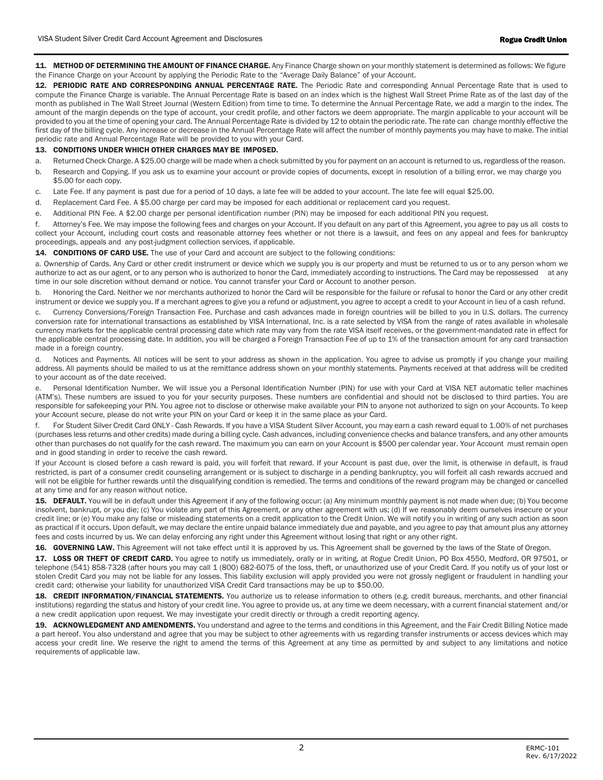11. METHOD OF DETERMINING THE AMOUNT OF FINANCE CHARGE. Any Finance Charge shown on your monthly statement is determined as follows: We figure the Finance Charge on your Account by applying the Periodic Rate to the "Average Daily Balance" of your Account.

12. PERIODIC RATE AND CORRESPONDING ANNUAL PERCENTAGE RATE. The Periodic Rate and corresponding Annual Percentage Rate that is used to compute the Finance Charge is variable. The Annual Percentage Rate is based on an index which is the highest Wall Street Prime Rate as of the last day of the month as published in The Wall Street Journal (Western Edition) from time to time. To determine the Annual Percentage Rate, we add a margin to the index. The amount of the margin depends on the type of account, your credit profile, and other factors we deem appropriate. The margin applicable to vour account will be provided to you at the time of opening your card. The Annual Percentage Rate is divided by 12 to obtain the periodic rate. The rate can change monthly effective the first day of the billing cycle. Any increase or decrease in the Annual Percentage Rate will affect the number of monthly payments you may have to make. The initial periodic rate and Annual Percentage Rate will be provided to you with your Card.

## 13. CONDITIONS UNDER WHICH OTHER CHARGES MAY BE IMPOSED.

a. Returned Check Charge. A \$25.00 charge will be made when a check submitted by you for payment on an account is returned to us, regardless of the reason.

- b. Research and Copying. If you ask us to examine your account or provide copies of documents, except in resolution of a billing error, we may charge you \$5.00 for each copy.
- c. Late Fee. If any payment is past due for a period of 10 days, a late fee will be added to your account. The late fee will equal \$25.00.
- d. Replacement Card Fee. A \$5.00 charge per card may be imposed for each additional or replacement card you request.
- e. Additional PIN Fee. A \$2.00 charge per personal identification number (PIN) may be imposed for each additional PIN you request.

f. Attorney's Fee. We may impose the following fees and charges on your Account. If you default on any part of this Agreement, you agree to pay us all costs to collect your Account, including court costs and reasonable attorney fees whether or not there is a lawsuit, and fees on any appeal and fees for bankruptcy proceedings, appeals and any post-judgment collection services, if applicable.

14. CONDITIONS OF CARD USE. The use of your Card and account are subject to the following conditions:

a. Ownership of Cards. Any Card or other credit instrument or device which we supply you is our property and must be returned to us or to any person whom we authorize to act as our agent, or to any person who is authorized to honor the Card, immediately according to instructions. The Card may be repossessed at any time in our sole discretion without demand or notice. You cannot transfer your Card or Account to another person.

b. Honoring the Card. Neither we nor merchants authorized to honor the Card will be responsible for the failure or refusal to honor the Card or any other credit instrument or device we supply you. If a merchant agrees to give you a refund or adjustment, you agree to accept a credit to your Account in lieu of a cash refund.

c. Currency Conversions/Foreign Transaction Fee. Purchase and cash advances made in foreign countries will be billed to you in U.S. dollars. The currency conversion rate for international transactions as established by VISA International, Inc. is a rate selected by VISA from the range of rates available in wholesale currency markets for the applicable central processing date which rate may vary from the rate VISA itself receives, or the government-mandated rate in effect for the applicable central processing date. In addition, you will be charged a Foreign Transaction Fee of up to 1% of the transaction amount for any card transaction made in a foreign country.

d. Notices and Payments. All notices will be sent to your address as shown in the application. You agree to advise us promptly if you change your mailing address. All payments should be mailed to us at the remittance address shown on your monthly statements. Payments received at that address will be credited to your account as of the date received.

Personal Identification Number. We will issue you a Personal Identification Number (PIN) for use with your Card at VISA NET automatic teller machines (ATM's). These numbers are issued to you for your security purposes. These numbers are confidential and should not be disclosed to third parties. You are responsible for safekeeping your PIN. You agree not to disclose or otherwise make available your PIN to anyone not authorized to sign on your Accounts. To keep your Account secure, please do not write your PIN on your Card or keep it in the same place as your Card.

For Student Silver Credit Card ONLY - Cash Rewards. If you have a VISA Student Silver Account, you may earn a cash reward equal to 1.00% of net purchases (purchases less returns and other credits) made during a billing cycle. Cash advances, including convenience checks and balance transfers, and any other amounts other than purchases do not qualify for the cash reward. The maximum you can earn on your Account is \$500 per calendar year. Your Account must remain open and in good standing in order to receive the cash reward.

If your Account is closed before a cash reward is paid, you will forfeit that reward. If your Account is past due, over the limit, is otherwise in default, is fraud restricted, is part of a consumer credit counseling arrangement or is subject to discharge in a pending bankruptcy, you will forfeit all cash rewards accrued and will not be eligible for further rewards until the disqualifying condition is remedied. The terms and conditions of the reward program may be changed or cancelled at any time and for any reason without notice.

15. DEFAULT. You will be in default under this Agreement if any of the following occur: (a) Any minimum monthly payment is not made when due; (b) You become insolvent, bankrupt, or you die; (c) You violate any part of this Agreement, or any other agreement with us; (d) If we reasonably deem ourselves insecure or your credit line; or (e) You make any false or misleading statements on a credit application to the Credit Union. We will notify you in writing of any such action as soon as practical if it occurs. Upon default, we may declare the entire unpaid balance immediately due and payable, and you agree to pay that amount plus any attorney fees and costs incurred by us. We can delay enforcing any right under this Agreement without losing that right or any other right.

16. GOVERNING LAW. This Agreement will not take effect until it is approved by us. This Agreement shall be governed by the laws of the State of Oregon.

17. LOSS OR THEFT OF CREDIT CARD. You agree to notify us immediately, orally or in writing, at Rogue Credit Union, PO Box 4550, Medford, OR 97501, or telephone (541) 858-7328 (after hours you may call 1 (800) 682-6075 of the loss, theft, or unauthorized use of your Credit Card. If you notify us of your lost or stolen Credit Card you may not be liable for any losses. This liability exclusion will apply provided you were not grossly negligent or fraudulent in handling your credit card; otherwise your liability for unauthorized VISA Credit Card transactions may be up to \$50.00.

18. CREDIT INFORMATION/FINANCIAL STATEMENTS. You authorize us to release information to others (e.g. credit bureaus, merchants, and other financial institutions) regarding the status and history of your credit line. You agree to provide us, at any time we deem necessary, with a current financial statement and/or a new credit application upon request. We may investigate your credit directly or through a credit reporting agency.

19. ACKNOWLEDGMENT AND AMENDMENTS. You understand and agree to the terms and conditions in this Agreement, and the Fair Credit Billing Notice made a part hereof. You also understand and agree that you may be subject to other agreements with us regarding transfer instruments or access devices which may access your credit line. We reserve the right to amend the terms of this Agreement at any time as permitted by and subject to any limitations and notice requirements of applicable law.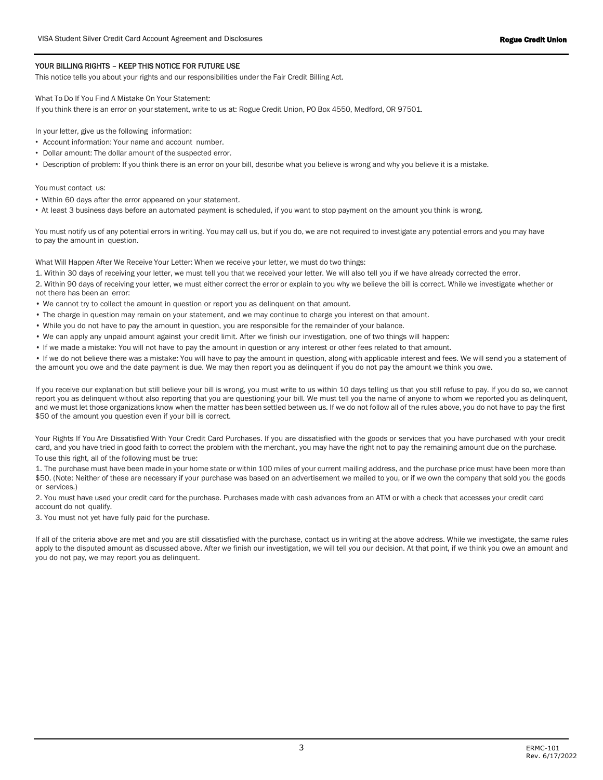## YOUR BILLING RIGHTS – KEEP THIS NOTICE FOR FUTURE USE

This notice tells you about your rights and our responsibilities under the Fair Credit Billing Act.

What To Do If You Find A Mistake On Your Statement:

If you think there is an error on your statement, write to us at: Rogue Credit Union, PO Box 4550, Medford, OR 97501.

In your letter, give us the following information:

- Account information: Your name and account number.
- Dollar amount: The dollar amount of the suspected error.
- Description of problem: If you think there is an error on your bill, describe what you believe is wrong and why you believe it is a mistake.

You must contact us:

- Within 60 days after the error appeared on your statement.
- At least 3 business days before an automated payment is scheduled, if you want to stop payment on the amount you think is wrong.

You must notify us of any potential errors in writing. You may call us, but if you do, we are not required to investigate any potential errors and you may have to pay the amount in question.

What Will Happen After We Receive Your Letter: When we receive your letter, we must do two things:

1. Within 30 days of receiving your letter, we must tell you that we received your letter. We will also tell you if we have already corrected the error.

2. Within 90 days of receiving your letter, we must either correct the error or explain to you why we believe the bill is correct. While we investigate whether or not there has been an error:

- We cannot try to collect the amount in question or report you as delinquent on that amount.
- The charge in question may remain on your statement, and we may continue to charge you interest on that amount.
- While you do not have to pay the amount in question, you are responsible for the remainder of your balance.
- We can apply any unpaid amount against your credit limit. After we finish our investigation, one of two things will happen:
- If we made a mistake: You will not have to pay the amount in question or any interest or other fees related to that amount.

• If we do not believe there was a mistake: You will have to pay the amount in question, along with applicable interest and fees. We will send you a statement of the amount you owe and the date payment is due. We may then report you as delinquent if you do not pay the amount we think you owe.

If you receive our explanation but still believe your bill is wrong, you must write to us within 10 days telling us that you still refuse to pay. If you do so, we cannot report you as delinquent without also reporting that you are questioning your bill. We must tell you the name of anyone to whom we reported you as delinquent, and we must let those organizations know when the matter has been settled between us. If we do not follow all of the rules above, you do not have to pay the first \$50 of the amount you question even if your bill is correct.

Your Rights If You Are Dissatisfied With Your Credit Card Purchases. If you are dissatisfied with the goods or services that you have purchased with your credit card, and you have tried in good faith to correct the problem with the merchant, you may have the right not to pay the remaining amount due on the purchase. To use this right, all of the following must be true:

1. The purchase must have been made in your home state or within 100 miles of your current mailing address, and the purchase price must have been more than \$50. (Note: Neither of these are necessary if your purchase was based on an advertisement we mailed to you, or if we own the company that sold you the goods or services.)

2. You must have used your credit card for the purchase. Purchases made with cash advances from an ATM or with a check that accesses your credit card account do not qualify.

3. You must not yet have fully paid for the purchase.

If all of the criteria above are met and you are still dissatisfied with the purchase, contact us in writing at the above address. While we investigate, the same rules apply to the disputed amount as discussed above. After we finish our investigation, we will tell you our decision. At that point, if we think you owe an amount and you do not pay, we may report you as delinquent.